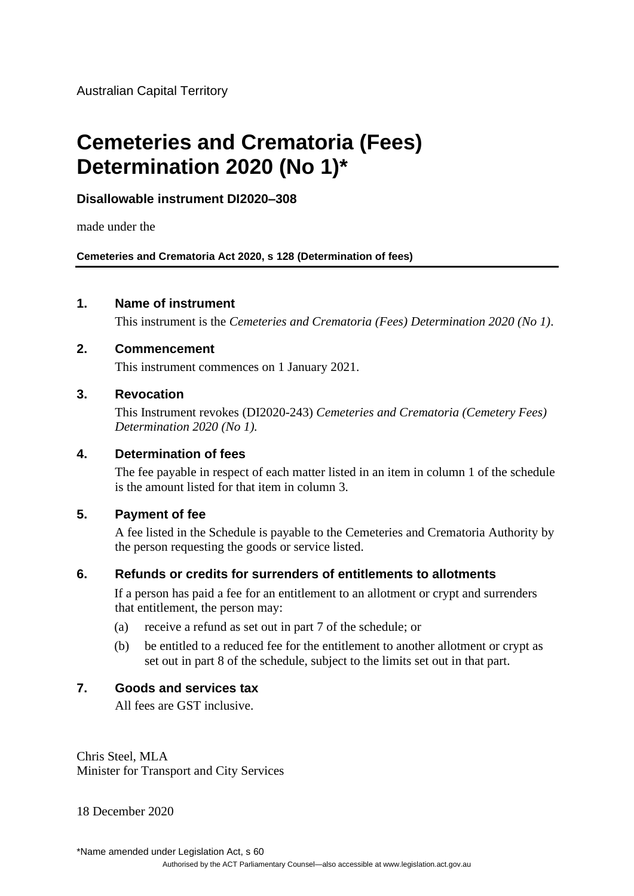Australian Capital Territory

# **Cemeteries and Crematoria (Fees) Determination 2020 (No 1)\***

# **Disallowable instrument DI2020–308**

made under the

**Cemeteries and Crematoria Act 2020, s 128 (Determination of fees)**

## **1. Name of instrument**

This instrument is the *Cemeteries and Crematoria (Fees) Determination 2020 (No 1)*.

## **2. Commencement**

This instrument commences on 1 January 2021.

## **3. Revocation**

This Instrument revokes (DI2020-243) *Cemeteries and Crematoria (Cemetery Fees) Determination 2020 (No 1).*

## **4. Determination of fees**

The fee payable in respect of each matter listed in an item in column 1 of the schedule is the amount listed for that item in column 3.

# **5. Payment of fee**

A fee listed in the Schedule is payable to the Cemeteries and Crematoria Authority by the person requesting the goods or service listed.

# **6. Refunds or credits for surrenders of entitlements to allotments**

If a person has paid a fee for an entitlement to an allotment or crypt and surrenders that entitlement, the person may:

- (a) receive a refund as set out in part 7 of the schedule; or
- (b) be entitled to a reduced fee for the entitlement to another allotment or crypt as set out in part 8 of the schedule, subject to the limits set out in that part.

# **7. Goods and services tax**

All fees are GST inclusive.

Chris Steel, MLA Minister for Transport and City Services

18 December 2020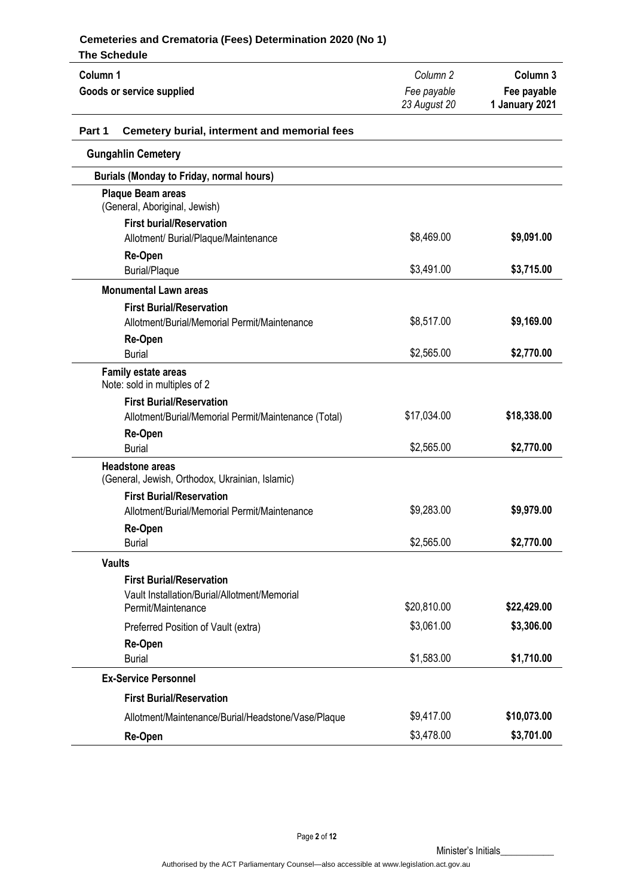| The ochedule                                                              |                     |                     |
|---------------------------------------------------------------------------|---------------------|---------------------|
| Column 1                                                                  | Column <sub>2</sub> | Column <sub>3</sub> |
| Goods or service supplied                                                 | Fee payable         | Fee payable         |
|                                                                           | 23 August 20        | 1 January 2021      |
| Part 1<br>Cemetery burial, interment and memorial fees                    |                     |                     |
| <b>Gungahlin Cemetery</b>                                                 |                     |                     |
| <b>Burials (Monday to Friday, normal hours)</b>                           |                     |                     |
| <b>Plaque Beam areas</b><br>(General, Aboriginal, Jewish)                 |                     |                     |
| <b>First burial/Reservation</b><br>Allotment/ Burial/Plaque/Maintenance   | \$8,469.00          | \$9,091.00          |
| Re-Open<br><b>Burial/Plaque</b>                                           | \$3,491.00          | \$3,715.00          |
| <b>Monumental Lawn areas</b>                                              |                     |                     |
| <b>First Burial/Reservation</b>                                           |                     |                     |
| Allotment/Burial/Memorial Permit/Maintenance                              | \$8,517.00          | \$9,169.00          |
| Re-Open<br><b>Burial</b>                                                  | \$2,565.00          | \$2,770.00          |
| <b>Family estate areas</b><br>Note: sold in multiples of 2                |                     |                     |
| <b>First Burial/Reservation</b>                                           |                     |                     |
| Allotment/Burial/Memorial Permit/Maintenance (Total)                      | \$17,034.00         | \$18,338.00         |
| Re-Open<br><b>Burial</b>                                                  | \$2,565.00          | \$2,770.00          |
| <b>Headstone areas</b><br>(General, Jewish, Orthodox, Ukrainian, Islamic) |                     |                     |
| <b>First Burial/Reservation</b>                                           |                     |                     |
| Allotment/Burial/Memorial Permit/Maintenance                              | \$9,283.00          | \$9,979.00          |
| Re-Open<br><b>Burial</b>                                                  | \$2,565.00          | \$2,770.00          |
| <b>Vaults</b>                                                             |                     |                     |
| <b>First Burial/Reservation</b>                                           |                     |                     |
| Vault Installation/Burial/Allotment/Memorial<br>Permit/Maintenance        | \$20,810.00         | \$22,429.00         |
| Preferred Position of Vault (extra)                                       | \$3,061.00          | \$3,306.00          |
| Re-Open                                                                   |                     |                     |
| <b>Burial</b>                                                             | \$1,583.00          | \$1,710.00          |
| <b>Ex-Service Personnel</b>                                               |                     |                     |
| <b>First Burial/Reservation</b>                                           |                     |                     |
| Allotment/Maintenance/Burial/Headstone/Vase/Plaque                        | \$9,417.00          | \$10,073.00         |
| Re-Open                                                                   | \$3,478.00          | \$3,701.00          |

Page **2** of **12**

Minister's Initials\_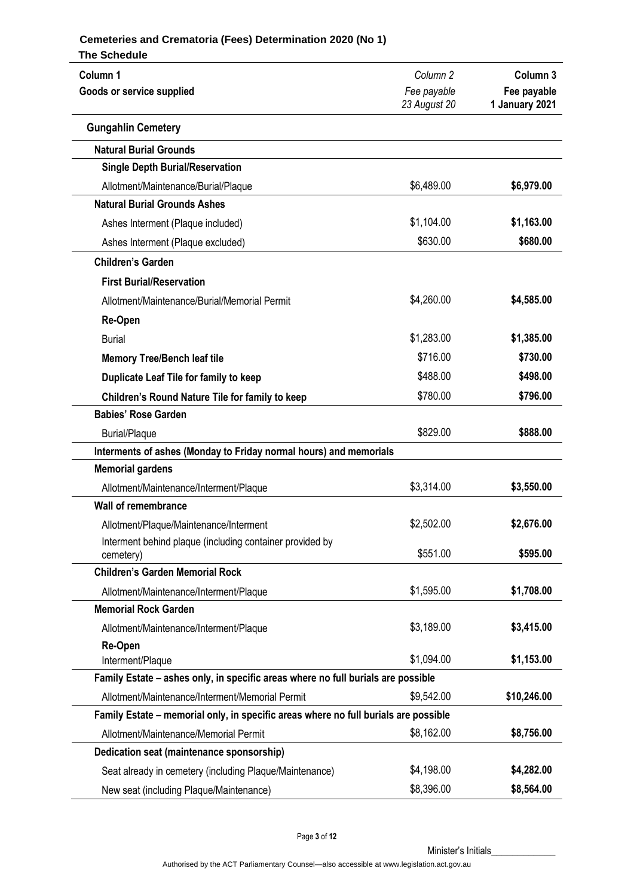| Column 1<br>Goods or service supplied                                               | Column <sub>2</sub><br>Fee payable | Column <sub>3</sub><br>Fee payable |
|-------------------------------------------------------------------------------------|------------------------------------|------------------------------------|
|                                                                                     | 23 August 20                       | 1 January 2021                     |
| <b>Gungahlin Cemetery</b>                                                           |                                    |                                    |
| <b>Natural Burial Grounds</b>                                                       |                                    |                                    |
| <b>Single Depth Burial/Reservation</b>                                              |                                    |                                    |
| Allotment/Maintenance/Burial/Plaque                                                 | \$6,489.00                         | \$6,979.00                         |
| <b>Natural Burial Grounds Ashes</b>                                                 |                                    |                                    |
| Ashes Interment (Plaque included)                                                   | \$1,104.00                         | \$1,163.00                         |
| Ashes Interment (Plaque excluded)                                                   | \$630.00                           | \$680.00                           |
| <b>Children's Garden</b>                                                            |                                    |                                    |
| <b>First Burial/Reservation</b>                                                     |                                    |                                    |
| Allotment/Maintenance/Burial/Memorial Permit                                        | \$4,260.00                         | \$4,585.00                         |
| Re-Open                                                                             |                                    |                                    |
| <b>Burial</b>                                                                       | \$1,283.00                         | \$1,385.00                         |
| <b>Memory Tree/Bench leaf tile</b>                                                  | \$716.00                           | \$730.00                           |
| Duplicate Leaf Tile for family to keep                                              | \$488.00                           | \$498.00                           |
| Children's Round Nature Tile for family to keep                                     | \$780.00                           | \$796.00                           |
| <b>Babies' Rose Garden</b>                                                          |                                    |                                    |
| <b>Burial/Plaque</b>                                                                | \$829.00                           | \$888.00                           |
| Interments of ashes (Monday to Friday normal hours) and memorials                   |                                    |                                    |
| <b>Memorial gardens</b>                                                             |                                    |                                    |
| Allotment/Maintenance/Interment/Plaque                                              | \$3,314.00                         | \$3,550.00                         |
| <b>Wall of remembrance</b>                                                          |                                    |                                    |
| Allotment/Plaque/Maintenance/Interment                                              | \$2,502.00                         | \$2,676.00                         |
| Interment behind plaque (including container provided by                            | \$551.00                           | \$595.00                           |
| cemetery)<br><b>Children's Garden Memorial Rock</b>                                 |                                    |                                    |
|                                                                                     | \$1,595.00                         | \$1,708.00                         |
| Allotment/Maintenance/Interment/Plaque<br><b>Memorial Rock Garden</b>               |                                    |                                    |
| Allotment/Maintenance/Interment/Plaque                                              | \$3,189.00                         | \$3,415.00                         |
| Re-Open                                                                             |                                    |                                    |
| Interment/Plaque                                                                    | \$1,094.00                         | \$1,153.00                         |
| Family Estate - ashes only, in specific areas where no full burials are possible    |                                    |                                    |
| Allotment/Maintenance/Interment/Memorial Permit                                     | \$9,542.00                         | \$10,246.00                        |
| Family Estate - memorial only, in specific areas where no full burials are possible |                                    |                                    |
| Allotment/Maintenance/Memorial Permit                                               | \$8,162.00                         | \$8,756.00                         |
| Dedication seat (maintenance sponsorship)                                           |                                    |                                    |
| Seat already in cemetery (including Plaque/Maintenance)                             | \$4,198.00                         | \$4,282.00                         |
| New seat (including Plaque/Maintenance)                                             | \$8,396.00                         | \$8,564.00                         |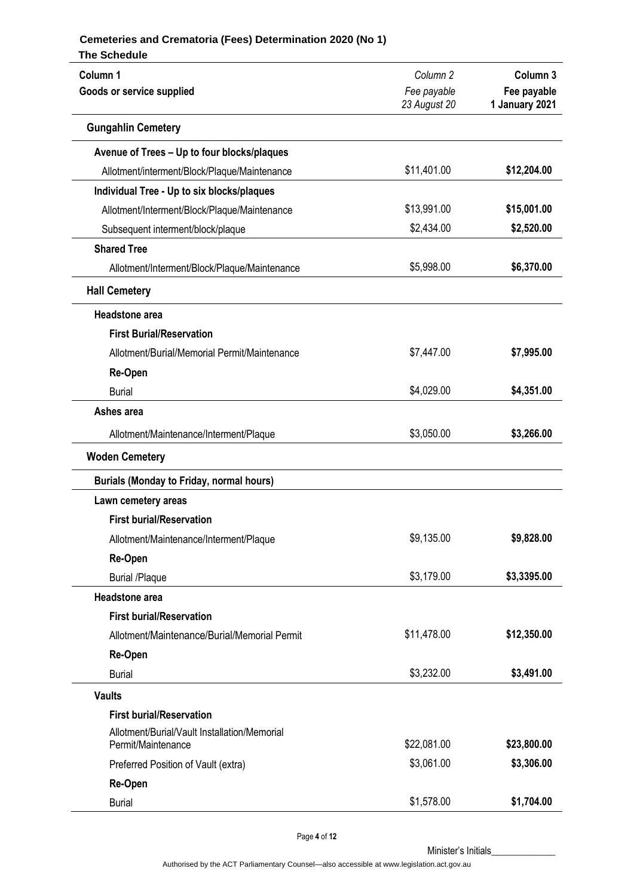| Column 1                                        | Column <sub>2</sub> | Column <sub>3</sub> |  |
|-------------------------------------------------|---------------------|---------------------|--|
| Goods or service supplied                       | Fee payable         | Fee payable         |  |
|                                                 | 23 August 20        | 1 January 2021      |  |
| <b>Gungahlin Cemetery</b>                       |                     |                     |  |
| Avenue of Trees - Up to four blocks/plaques     |                     |                     |  |
| Allotment/interment/Block/Plaque/Maintenance    | \$11,401.00         | \$12,204.00         |  |
| Individual Tree - Up to six blocks/plaques      |                     |                     |  |
| Allotment/Interment/Block/Plaque/Maintenance    | \$13,991.00         | \$15,001.00         |  |
| Subsequent interment/block/plaque               | \$2,434.00          | \$2,520.00          |  |
| <b>Shared Tree</b>                              |                     |                     |  |
| Allotment/Interment/Block/Plaque/Maintenance    | \$5,998.00          | \$6,370.00          |  |
| <b>Hall Cemetery</b>                            |                     |                     |  |
| Headstone area                                  |                     |                     |  |
| <b>First Burial/Reservation</b>                 |                     |                     |  |
| Allotment/Burial/Memorial Permit/Maintenance    | \$7,447.00          | \$7,995.00          |  |
| Re-Open                                         |                     |                     |  |
| <b>Burial</b>                                   | \$4,029.00          | \$4,351.00          |  |
| Ashes area                                      |                     |                     |  |
| Allotment/Maintenance/Interment/Plaque          | \$3,050.00          | \$3,266.00          |  |
| <b>Woden Cemetery</b>                           |                     |                     |  |
| <b>Burials (Monday to Friday, normal hours)</b> |                     |                     |  |
| Lawn cemetery areas                             |                     |                     |  |
| <b>First burial/Reservation</b>                 |                     |                     |  |
| Allotment/Maintenance/Interment/Plaque          | \$9,135.00          | \$9,828.00          |  |
| Re-Open                                         |                     |                     |  |
| <b>Burial /Plaque</b>                           | \$3,179.00          | \$3,3395.00         |  |
| <b>Headstone</b> area                           |                     |                     |  |
| <b>First burial/Reservation</b>                 |                     |                     |  |
| Allotment/Maintenance/Burial/Memorial Permit    | \$11,478.00         | \$12,350.00         |  |
| Re-Open                                         |                     |                     |  |
| <b>Burial</b>                                   | \$3,232.00          | \$3,491.00          |  |
| <b>Vaults</b>                                   |                     |                     |  |
| <b>First burial/Reservation</b>                 |                     |                     |  |
| Allotment/Burial/Vault Installation/Memorial    |                     |                     |  |
| Permit/Maintenance                              | \$22,081.00         | \$23,800.00         |  |
| Preferred Position of Vault (extra)             | \$3,061.00          | \$3,306.00          |  |
| Re-Open                                         |                     |                     |  |
| <b>Burial</b>                                   | \$1,578.00          | \$1,704.00          |  |

Page **4** of **12**

Minister's Initials\_

Authorised by the ACT Parliamentary Counsel—also accessible at www.legislation.act.gov.au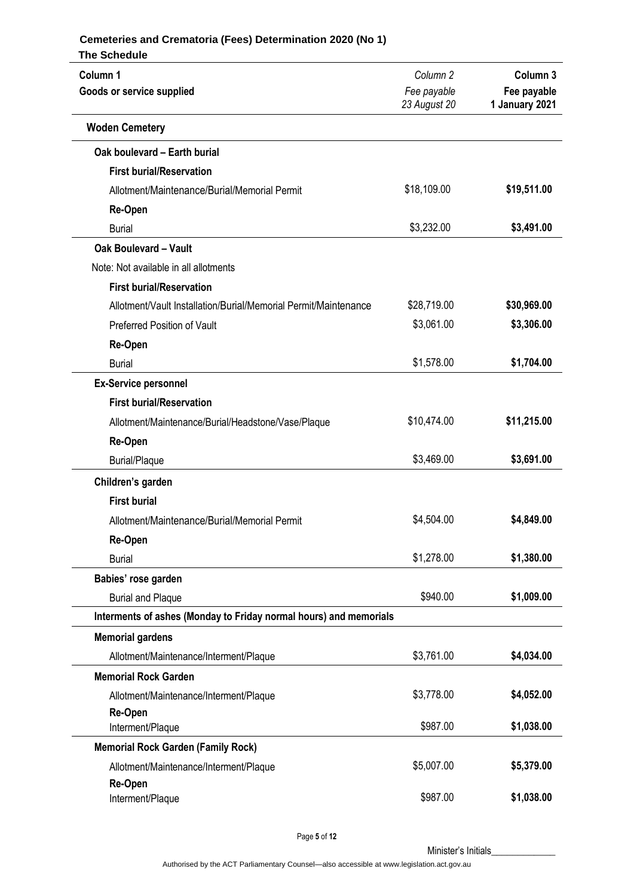| <b>The Schedule</b>                                               |                             |                               |
|-------------------------------------------------------------------|-----------------------------|-------------------------------|
| Column 1                                                          | Column <sub>2</sub>         | Column 3                      |
| Goods or service supplied                                         | Fee payable<br>23 August 20 | Fee payable<br>1 January 2021 |
| <b>Woden Cemetery</b>                                             |                             |                               |
| Oak boulevard - Earth burial                                      |                             |                               |
| <b>First burial/Reservation</b>                                   |                             |                               |
| Allotment/Maintenance/Burial/Memorial Permit                      | \$18,109.00                 | \$19,511.00                   |
| Re-Open                                                           |                             |                               |
| <b>Burial</b>                                                     | \$3,232.00                  | \$3,491.00                    |
| <b>Oak Boulevard - Vault</b>                                      |                             |                               |
| Note: Not available in all allotments                             |                             |                               |
| <b>First burial/Reservation</b>                                   |                             |                               |
| Allotment/Vault Installation/Burial/Memorial Permit/Maintenance   | \$28,719.00                 | \$30,969.00                   |
| <b>Preferred Position of Vault</b>                                | \$3,061.00                  | \$3,306.00                    |
| Re-Open                                                           |                             |                               |
| <b>Burial</b>                                                     | \$1,578.00                  | \$1,704.00                    |
| <b>Ex-Service personnel</b>                                       |                             |                               |
| <b>First burial/Reservation</b>                                   |                             |                               |
| Allotment/Maintenance/Burial/Headstone/Vase/Plaque                | \$10,474.00                 | \$11,215.00                   |
| Re-Open                                                           |                             |                               |
| <b>Burial/Plaque</b>                                              | \$3,469.00                  | \$3,691.00                    |
| Children's garden                                                 |                             |                               |
| <b>First burial</b>                                               |                             |                               |
| Allotment/Maintenance/Burial/Memorial Permit                      | \$4,504.00                  | \$4,849.00                    |
| Re-Open                                                           |                             |                               |
| <b>Burial</b>                                                     | \$1,278.00                  | \$1,380.00                    |
| Babies' rose garden                                               |                             |                               |
| <b>Burial and Plaque</b>                                          | \$940.00                    | \$1,009.00                    |
| Interments of ashes (Monday to Friday normal hours) and memorials |                             |                               |
| <b>Memorial gardens</b>                                           |                             |                               |
| Allotment/Maintenance/Interment/Plaque                            | \$3,761.00                  | \$4,034.00                    |
| <b>Memorial Rock Garden</b>                                       |                             |                               |
| Allotment/Maintenance/Interment/Plaque                            | \$3,778.00                  | \$4,052.00                    |
| Re-Open                                                           |                             |                               |
| Interment/Plaque                                                  | \$987.00                    | \$1,038.00                    |
| <b>Memorial Rock Garden (Family Rock)</b>                         |                             |                               |
| Allotment/Maintenance/Interment/Plaque                            | \$5,007.00                  | \$5,379.00                    |
| Re-Open                                                           | \$987.00                    | \$1,038.00                    |
| Interment/Plaque                                                  |                             |                               |

Page **5** of **12**

Minister's Initials\_\_\_\_\_\_\_\_\_\_\_\_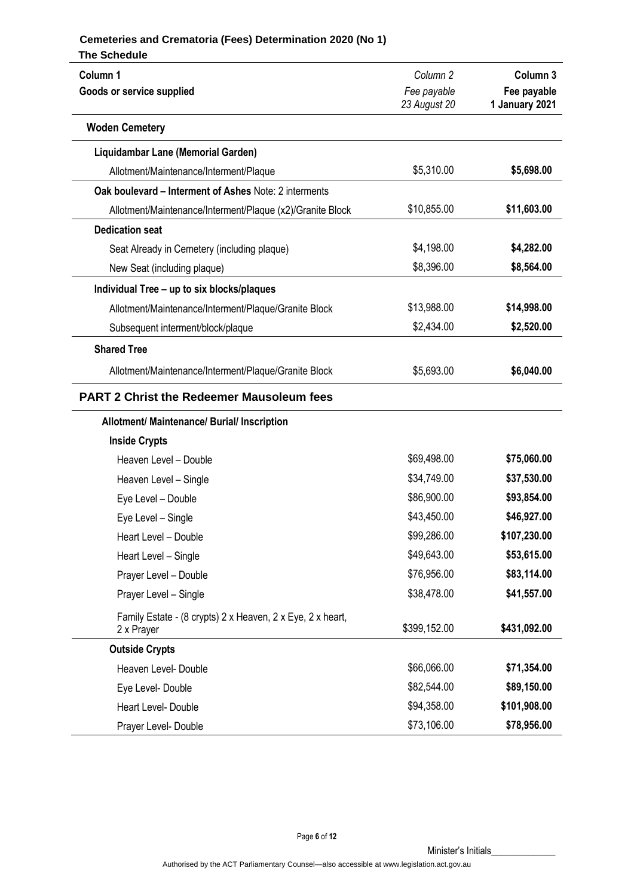| <b>The Schedule</b>                                                                      |                             |                               |
|------------------------------------------------------------------------------------------|-----------------------------|-------------------------------|
| Column 1                                                                                 | Column <sub>2</sub>         | Column 3                      |
| Goods or service supplied                                                                | Fee payable<br>23 August 20 | Fee payable<br>1 January 2021 |
| <b>Woden Cemetery</b>                                                                    |                             |                               |
| Liquidambar Lane (Memorial Garden)                                                       |                             |                               |
| Allotment/Maintenance/Interment/Plaque                                                   | \$5,310.00                  | \$5,698.00                    |
| Oak boulevard – Interment of Ashes Note: 2 interments                                    |                             |                               |
| Allotment/Maintenance/Interment/Plaque (x2)/Granite Block                                | \$10,855.00                 | \$11,603.00                   |
| <b>Dedication seat</b>                                                                   |                             |                               |
| Seat Already in Cemetery (including plaque)                                              | \$4,198.00                  | \$4,282.00                    |
| New Seat (including plaque)                                                              | \$8,396.00                  | \$8,564.00                    |
| Individual Tree - up to six blocks/plaques                                               |                             |                               |
| Allotment/Maintenance/Interment/Plaque/Granite Block                                     | \$13,988.00                 | \$14,998.00                   |
| Subsequent interment/block/plaque                                                        | \$2,434.00                  | \$2,520.00                    |
| <b>Shared Tree</b>                                                                       |                             |                               |
| Allotment/Maintenance/Interment/Plaque/Granite Block                                     | \$5,693.00                  | \$6,040.00                    |
| <b>PART 2 Christ the Redeemer Mausoleum fees</b>                                         |                             |                               |
| Allotment/ Maintenance/ Burial/ Inscription                                              |                             |                               |
| <b>Inside Crypts</b>                                                                     |                             |                               |
| Heaven Level - Double                                                                    | \$69,498.00                 | \$75,060.00                   |
| Heaven Level - Single                                                                    | \$34,749.00                 | \$37,530.00                   |
| Eye Level - Double                                                                       | \$86,900.00                 | \$93,854.00                   |
| Eye Level - Single                                                                       | \$43,450.00                 | \$46,927.00                   |
| Heart Level - Double                                                                     | \$99,286.00                 | \$107,230.00                  |
| Heart Level - Single                                                                     | \$49,643.00                 | \$53,615.00                   |
| Prayer Level - Double                                                                    | \$76,956.00                 | \$83,114.00                   |
| Prayer Level - Single                                                                    | \$38,478.00                 | \$41,557.00                   |
| Family Estate - (8 crypts) 2 x Heaven, 2 x Eye, 2 x heart,<br>\$399,152.00<br>2 x Prayer |                             | \$431,092.00                  |
| <b>Outside Crypts</b>                                                                    |                             |                               |
| Heaven Level- Double                                                                     | \$66,066.00                 | \$71,354.00                   |
| Eye Level- Double                                                                        | \$82,544.00                 | \$89,150.00                   |
| Heart Level- Double                                                                      | \$94,358.00                 | \$101,908.00                  |
| Prayer Level- Double                                                                     | \$73,106.00                 | \$78,956.00                   |

Page **6** of **12**

Minister's Initials\_\_\_\_\_\_\_\_\_\_\_\_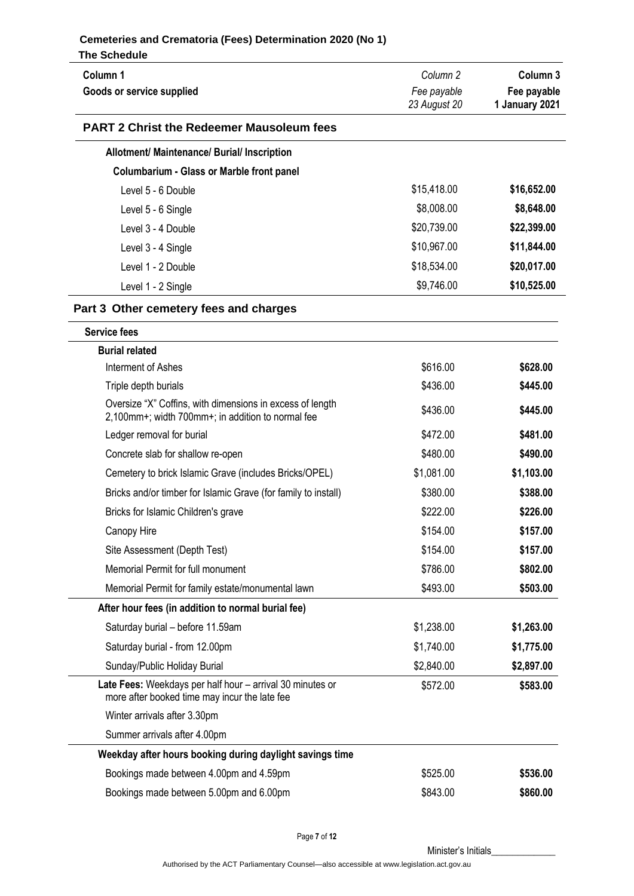| Column <sub>1</sub><br>Goods or service supplied                                                               | Column <sub>2</sub><br>Fee payable | Column 3<br>Fee payable |
|----------------------------------------------------------------------------------------------------------------|------------------------------------|-------------------------|
|                                                                                                                | 23 August 20                       | 1 January 2021          |
| <b>PART 2 Christ the Redeemer Mausoleum fees</b>                                                               |                                    |                         |
| Allotment/ Maintenance/ Burial/ Inscription                                                                    |                                    |                         |
| <b>Columbarium - Glass or Marble front panel</b>                                                               |                                    |                         |
| Level 5 - 6 Double                                                                                             | \$15,418.00                        | \$16,652.00             |
| Level 5 - 6 Single                                                                                             | \$8,008.00                         | \$8,648.00              |
| Level 3 - 4 Double                                                                                             | \$20,739.00                        | \$22,399.00             |
| Level 3 - 4 Single                                                                                             | \$10,967.00                        | \$11,844.00             |
| Level 1 - 2 Double                                                                                             | \$18,534.00                        | \$20,017.00             |
| Level 1 - 2 Single                                                                                             | \$9,746.00                         | \$10,525.00             |
| Part 3 Other cemetery fees and charges                                                                         |                                    |                         |
| <b>Service fees</b>                                                                                            |                                    |                         |
| <b>Burial related</b>                                                                                          |                                    |                         |
| Interment of Ashes                                                                                             | \$616.00                           | \$628.00                |
| Triple depth burials                                                                                           | \$436.00                           | \$445.00                |
| Oversize "X" Coffins, with dimensions in excess of length<br>2,100mm+; width 700mm+; in addition to normal fee | \$436.00                           | \$445.00                |
| Ledger removal for burial                                                                                      | \$472.00                           | \$481.00                |
| Concrete slab for shallow re-open                                                                              | \$480.00                           | \$490.00                |
| Cemetery to brick Islamic Grave (includes Bricks/OPEL)                                                         | \$1,081.00                         | \$1,103.00              |
| Bricks and/or timber for Islamic Grave (for family to install)                                                 | \$380.00                           | \$388.00                |
| Bricks for Islamic Children's grave                                                                            | \$222.00                           | \$226.00                |
| Canopy Hire                                                                                                    | \$154.00                           | \$157.00                |
| Site Assessment (Depth Test)                                                                                   | \$154.00                           | \$157.00                |
| Memorial Permit for full monument                                                                              | \$786.00                           | \$802.00                |
| Memorial Permit for family estate/monumental lawn                                                              | \$493.00                           | \$503.00                |
| After hour fees (in addition to normal burial fee)                                                             |                                    |                         |
| Saturday burial - before 11.59am                                                                               | \$1,238.00                         | \$1,263.00              |
| Saturday burial - from 12.00pm                                                                                 | \$1,740.00                         | \$1,775.00              |
| Sunday/Public Holiday Burial                                                                                   | \$2,840.00                         | \$2,897.00              |
| Late Fees: Weekdays per half hour - arrival 30 minutes or<br>more after booked time may incur the late fee     | \$572.00                           | \$583.00                |
| Winter arrivals after 3.30pm                                                                                   |                                    |                         |
| Summer arrivals after 4.00pm                                                                                   |                                    |                         |
| Weekday after hours booking during daylight savings time                                                       |                                    |                         |
| Bookings made between 4.00pm and 4.59pm                                                                        | \$525.00                           | \$536.00                |
| Bookings made between 5.00pm and 6.00pm                                                                        | \$843.00                           | \$860.00                |

Page **7** of **12**

Minister's Initials\_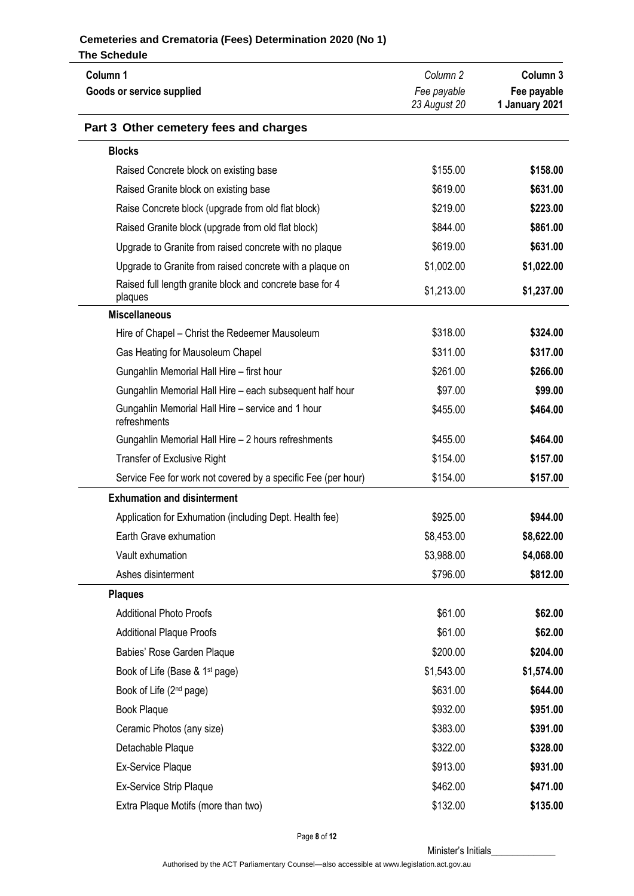| Column 1                                                            | Column <sub>2</sub> | Column <sub>3</sub> |
|---------------------------------------------------------------------|---------------------|---------------------|
| Goods or service supplied                                           | Fee payable         | Fee payable         |
|                                                                     | 23 August 20        | 1 January 2021      |
| Part 3 Other cemetery fees and charges                              |                     |                     |
| <b>Blocks</b>                                                       |                     |                     |
| Raised Concrete block on existing base                              | \$155.00            | \$158.00            |
| Raised Granite block on existing base                               | \$619.00            | \$631.00            |
| Raise Concrete block (upgrade from old flat block)                  | \$219.00            | \$223.00            |
| Raised Granite block (upgrade from old flat block)                  | \$844.00            | \$861.00            |
| Upgrade to Granite from raised concrete with no plaque              | \$619.00            | \$631.00            |
| Upgrade to Granite from raised concrete with a plaque on            | \$1,002.00          | \$1,022.00          |
| Raised full length granite block and concrete base for 4<br>plaques | \$1,213.00          | \$1,237.00          |
| <b>Miscellaneous</b>                                                |                     |                     |
| Hire of Chapel - Christ the Redeemer Mausoleum                      | \$318.00            | \$324.00            |
| Gas Heating for Mausoleum Chapel                                    | \$311.00            | \$317.00            |
| Gungahlin Memorial Hall Hire - first hour                           | \$261.00            | \$266.00            |
| Gungahlin Memorial Hall Hire - each subsequent half hour            | \$97.00             | \$99.00             |
| Gungahlin Memorial Hall Hire - service and 1 hour<br>refreshments   | \$455.00            | \$464.00            |
| Gungahlin Memorial Hall Hire - 2 hours refreshments                 | \$455.00            | \$464.00            |
| <b>Transfer of Exclusive Right</b>                                  | \$154.00            | \$157.00            |
| Service Fee for work not covered by a specific Fee (per hour)       | \$154.00            |                     |
| <b>Exhumation and disinterment</b>                                  |                     |                     |
| Application for Exhumation (including Dept. Health fee)             | \$925.00            | \$944.00            |
| Earth Grave exhumation                                              | \$8,453.00          | \$8,622.00          |
| Vault exhumation                                                    | \$3,988.00          | \$4,068.00          |
| Ashes disinterment                                                  | \$796.00            | \$812.00            |
| <b>Plaques</b>                                                      |                     |                     |
| <b>Additional Photo Proofs</b>                                      | \$61.00             | \$62.00             |
| <b>Additional Plaque Proofs</b>                                     | \$61.00             | \$62.00             |
| Babies' Rose Garden Plaque                                          | \$200.00            | \$204.00            |
| Book of Life (Base & 1 <sup>st</sup> page)<br>\$1,543.00            |                     | \$1,574.00          |
| Book of Life (2 <sup>nd</sup> page)                                 | \$631.00            | \$644.00            |
| Book Plaque                                                         | \$932.00            | \$951.00            |
| Ceramic Photos (any size)                                           | \$383.00            | \$391.00            |
| Detachable Plaque                                                   | \$322.00            | \$328.00            |
| Ex-Service Plaque                                                   | \$913.00            | \$931.00            |
| Ex-Service Strip Plaque                                             | \$462.00            | \$471.00            |
| Extra Plaque Motifs (more than two)                                 | \$132.00            | \$135.00            |

Page **8** of **12**

Minister's Initials\_\_\_\_\_\_\_\_\_\_\_\_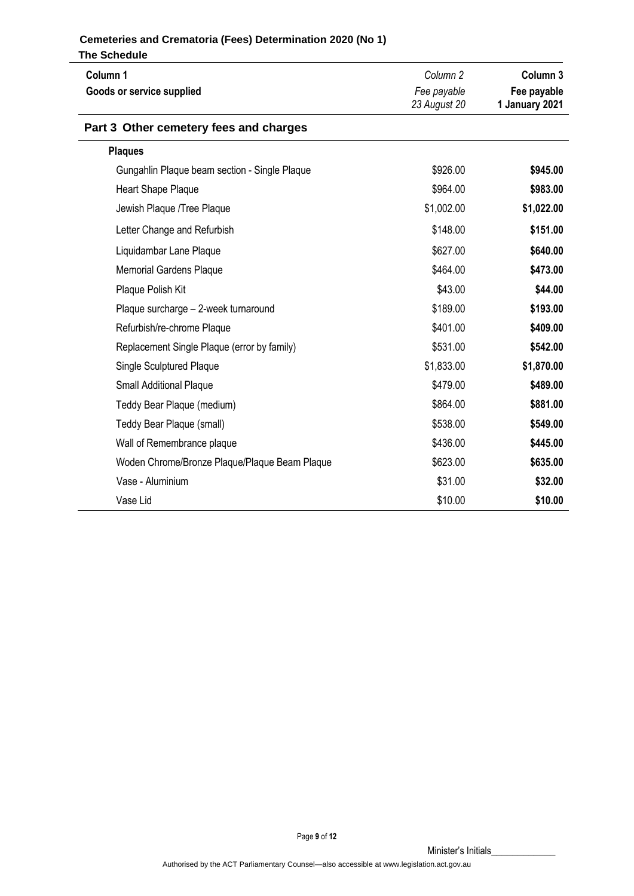| Column 1<br>Goods or service supplied         | Column <sub>2</sub><br>Fee payable<br>23 August 20 | Column 3<br>Fee payable<br>1 January 2021 |
|-----------------------------------------------|----------------------------------------------------|-------------------------------------------|
| Part 3 Other cemetery fees and charges        |                                                    |                                           |
| <b>Plaques</b>                                |                                                    |                                           |
| Gungahlin Plaque beam section - Single Plaque | \$926.00                                           | \$945.00                                  |
| Heart Shape Plaque                            | \$964.00                                           | \$983.00                                  |
| Jewish Plaque /Tree Plaque                    | \$1,002.00                                         | \$1,022.00                                |
| Letter Change and Refurbish                   | \$148.00                                           | \$151.00                                  |
| Liquidambar Lane Plaque                       | \$627.00                                           | \$640.00                                  |
| <b>Memorial Gardens Plaque</b>                | \$464.00                                           | \$473.00                                  |
| Plaque Polish Kit                             | \$43.00                                            | \$44.00                                   |
| Plaque surcharge - 2-week turnaround          | \$189.00                                           | \$193.00                                  |
| Refurbish/re-chrome Plaque                    | \$401.00                                           | \$409.00                                  |
| Replacement Single Plaque (error by family)   | \$531.00                                           | \$542.00                                  |
| <b>Single Sculptured Plaque</b>               | \$1,833.00                                         | \$1,870.00                                |
| <b>Small Additional Plaque</b>                | \$479.00                                           | \$489.00                                  |
| Teddy Bear Plaque (medium)                    | \$864.00                                           | \$881.00                                  |
| Teddy Bear Plaque (small)                     | \$538.00                                           | \$549.00                                  |
| Wall of Remembrance plaque                    | \$436.00                                           | \$445.00                                  |
| Woden Chrome/Bronze Plaque/Plaque Beam Plaque | \$623.00                                           | \$635.00                                  |
| Vase - Aluminium                              | \$31.00                                            | \$32.00                                   |
| Vase Lid                                      | \$10.00                                            | \$10.00                                   |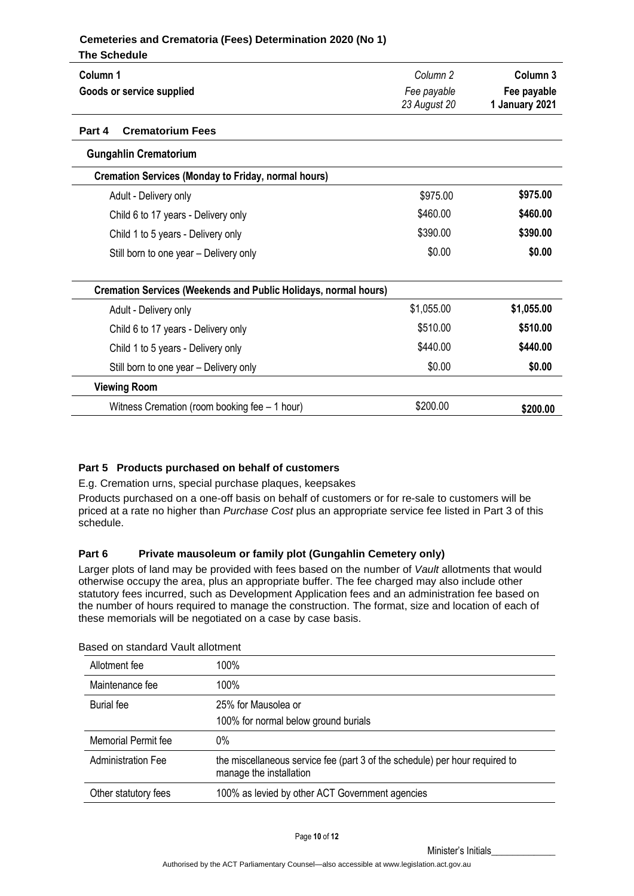| Column 1                                                               | Column <sub>2</sub> | Column <sub>3</sub> |
|------------------------------------------------------------------------|---------------------|---------------------|
| Goods or service supplied                                              | Fee payable         | Fee payable         |
|                                                                        | 23 August 20        | 1 January 2021      |
| Part 4<br><b>Crematorium Fees</b>                                      |                     |                     |
| <b>Gungahlin Crematorium</b>                                           |                     |                     |
| <b>Cremation Services (Monday to Friday, normal hours)</b>             |                     |                     |
| Adult - Delivery only                                                  | \$975.00            | \$975.00            |
| Child 6 to 17 years - Delivery only                                    | \$460.00            | \$460.00            |
| Child 1 to 5 years - Delivery only                                     | \$390.00            | \$390.00            |
| Still born to one year – Delivery only                                 | \$0.00              | \$0.00              |
| <b>Cremation Services (Weekends and Public Holidays, normal hours)</b> |                     |                     |
| Adult - Delivery only                                                  | \$1,055.00          | \$1,055.00          |
| Child 6 to 17 years - Delivery only                                    | \$510.00            | \$510.00            |
| Child 1 to 5 years - Delivery only                                     | \$440.00            | \$440.00            |
| Still born to one year - Delivery only                                 | \$0.00              | \$0.00              |
| <b>Viewing Room</b>                                                    |                     |                     |
| Witness Cremation (room booking fee - 1 hour)                          | \$200.00            | \$200.00            |
|                                                                        |                     |                     |

## **Part 5 Products purchased on behalf of customers**

E.g. Cremation urns, special purchase plaques, keepsakes

Products purchased on a one-off basis on behalf of customers or for re-sale to customers will be priced at a rate no higher than *Purchase Cost* plus an appropriate service fee listed in Part 3 of this schedule.

## **Part 6 Private mausoleum or family plot (Gungahlin Cemetery only)**

Larger plots of land may be provided with fees based on the number of *Vault* allotments that would otherwise occupy the area, plus an appropriate buffer. The fee charged may also include other statutory fees incurred, such as Development Application fees and an administration fee based on the number of hours required to manage the construction. The format, size and location of each of these memorials will be negotiated on a case by case basis.

| Allotment fee             | 100%                                                                                                   |
|---------------------------|--------------------------------------------------------------------------------------------------------|
| Maintenance fee           | 100%                                                                                                   |
| <b>Burial</b> fee         | 25% for Mausolea or                                                                                    |
|                           | 100% for normal below ground burials                                                                   |
| Memorial Permit fee       | 0%                                                                                                     |
| <b>Administration Fee</b> | the miscellaneous service fee (part 3 of the schedule) per hour required to<br>manage the installation |
| Other statutory fees      | 100% as levied by other ACT Government agencies                                                        |

Based on standard Vault allotment

Page **10** of **12**

Minister's Initials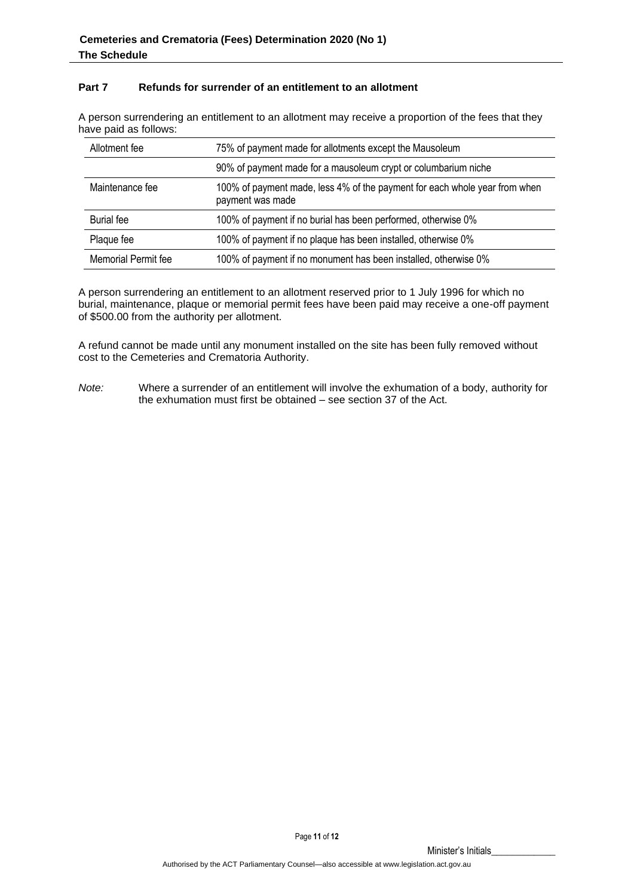## **Part 7 Refunds for surrender of an entitlement to an allotment**

A person surrendering an entitlement to an allotment may receive a proportion of the fees that they have paid as follows:

| Allotment fee       | 75% of payment made for allotments except the Mausoleum                                        |
|---------------------|------------------------------------------------------------------------------------------------|
|                     | 90% of payment made for a mausoleum crypt or columbarium niche                                 |
| Maintenance fee     | 100% of payment made, less 4% of the payment for each whole year from when<br>payment was made |
| <b>Burial</b> fee   | 100% of payment if no burial has been performed, otherwise 0%                                  |
| Plaque fee          | 100% of payment if no plaque has been installed, otherwise 0%                                  |
| Memorial Permit fee | 100% of payment if no monument has been installed, otherwise 0%                                |

A person surrendering an entitlement to an allotment reserved prior to 1 July 1996 for which no burial, maintenance, plaque or memorial permit fees have been paid may receive a one-off payment of \$500.00 from the authority per allotment.

A refund cannot be made until any monument installed on the site has been fully removed without cost to the Cemeteries and Crematoria Authority.

*Note:* Where a surrender of an entitlement will involve the exhumation of a body, authority for the exhumation must first be obtained – see section 37 of the Act.